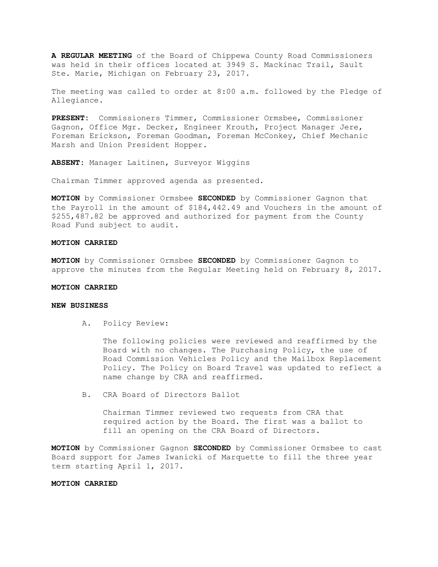**A REGULAR MEETING** of the Board of Chippewa County Road Commissioners was held in their offices located at 3949 S. Mackinac Trail, Sault Ste. Marie, Michigan on February 23, 2017.

The meeting was called to order at 8:00 a.m. followed by the Pledge of Allegiance.

**PRESENT:** Commissioners Timmer, Commissioner Ormsbee, Commissioner Gagnon, Office Mgr. Decker, Engineer Krouth, Project Manager Jere, Foreman Erickson, Foreman Goodman, Foreman McConkey, Chief Mechanic Marsh and Union President Hopper.

**ABSENT:** Manager Laitinen, Surveyor Wiggins

Chairman Timmer approved agenda as presented.

**MOTION** by Commissioner Ormsbee **SECONDED** by Commissioner Gagnon that the Payroll in the amount of \$184,442.49 and Vouchers in the amount of \$255,487.82 be approved and authorized for payment from the County Road Fund subject to audit.

### **MOTION CARRIED**

**MOTION** by Commissioner Ormsbee **SECONDED** by Commissioner Gagnon to approve the minutes from the Regular Meeting held on February 8, 2017.

# **MOTION CARRIED**

# **NEW BUSINESS**

A. Policy Review:

The following policies were reviewed and reaffirmed by the Board with no changes. The Purchasing Policy, the use of Road Commission Vehicles Policy and the Mailbox Replacement Policy. The Policy on Board Travel was updated to reflect a name change by CRA and reaffirmed.

B. CRA Board of Directors Ballot

Chairman Timmer reviewed two requests from CRA that required action by the Board. The first was a ballot to fill an opening on the CRA Board of Directors.

**MOTION** by Commissioner Gagnon **SECONDED** by Commissioner Ormsbee to cast Board support for James Iwanicki of Marquette to fill the three year term starting April 1, 2017.

## **MOTION CARRIED**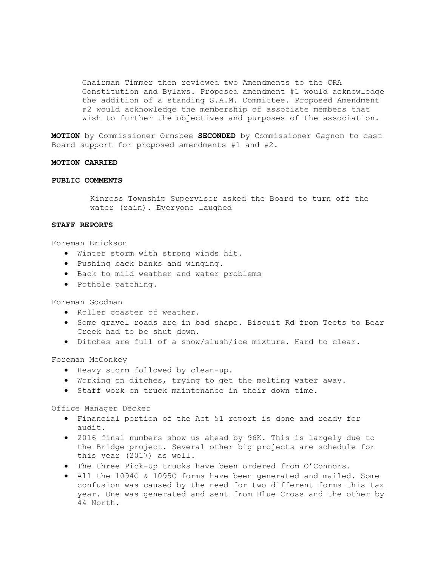Chairman Timmer then reviewed two Amendments to the CRA Constitution and Bylaws. Proposed amendment #1 would acknowledge the addition of a standing S.A.M. Committee. Proposed Amendment #2 would acknowledge the membership of associate members that wish to further the objectives and purposes of the association.

**MOTION** by Commissioner Ormsbee **SECONDED** by Commissioner Gagnon to cast Board support for proposed amendments #1 and #2.

#### **MOTION CARRIED**

### **PUBLIC COMMENTS**

Kinross Township Supervisor asked the Board to turn off the water (rain). Everyone laughed

## **STAFF REPORTS**

#### Foreman Erickson

- · Winter storm with strong winds hit.
- · Pushing back banks and winging.
- · Back to mild weather and water problems
- · Pothole patching.

Foreman Goodman

- · Roller coaster of weather.
- · Some gravel roads are in bad shape. Biscuit Rd from Teets to Bear Creek had to be shut down.
- · Ditches are full of a snow/slush/ice mixture. Hard to clear.

Foreman McConkey

- · Heavy storm followed by clean-up.
- · Working on ditches, trying to get the melting water away.
- · Staff work on truck maintenance in their down time.

#### Office Manager Decker

- · Financial portion of the Act 51 report is done and ready for audit.
- · 2016 final numbers show us ahead by 96K. This is largely due to the Bridge project. Several other big projects are schedule for this year (2017) as well.
- · The three Pick-Up trucks have been ordered from O'Connors.
- · All the 1094C & 1095C forms have been generated and mailed. Some confusion was caused by the need for two different forms this tax year. One was generated and sent from Blue Cross and the other by 44 North.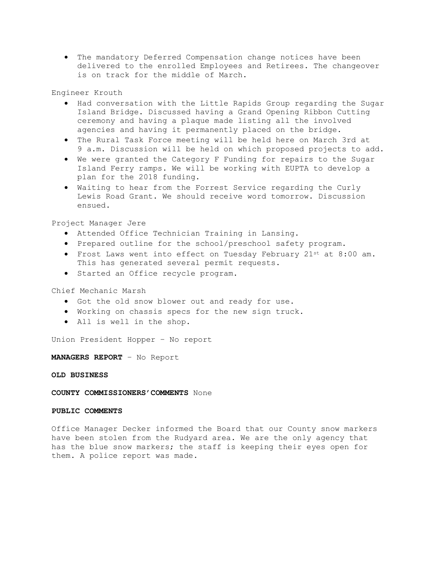· The mandatory Deferred Compensation change notices have been delivered to the enrolled Employees and Retirees. The changeover is on track for the middle of March.

Engineer Krouth

- · Had conversation with the Little Rapids Group regarding the Sugar Island Bridge. Discussed having a Grand Opening Ribbon Cutting ceremony and having a plaque made listing all the involved agencies and having it permanently placed on the bridge.
- · The Rural Task Force meeting will be held here on March 3rd at 9 a.m. Discussion will be held on which proposed projects to add.
- · We were granted the Category F Funding for repairs to the Sugar Island Ferry ramps. We will be working with EUPTA to develop a plan for the 2018 funding.
- · Waiting to hear from the Forrest Service regarding the Curly Lewis Road Grant. We should receive word tomorrow. Discussion ensued.

Project Manager Jere

- · Attended Office Technician Training in Lansing.
- · Prepared outline for the school/preschool safety program.
- · Frost Laws went into effect on Tuesday February 21st at 8:00 am. This has generated several permit requests.
- · Started an Office recycle program.

Chief Mechanic Marsh

- · Got the old snow blower out and ready for use.
- · Working on chassis specs for the new sign truck.
- · All is well in the shop.

Union President Hopper – No report

**MANAGERS REPORT** – No Report

**OLD BUSINESS**

**COUNTY COMMISSIONERS'COMMENTS** None

## **PUBLIC COMMENTS**

Office Manager Decker informed the Board that our County snow markers have been stolen from the Rudyard area. We are the only agency that has the blue snow markers; the staff is keeping their eyes open for them. A police report was made.